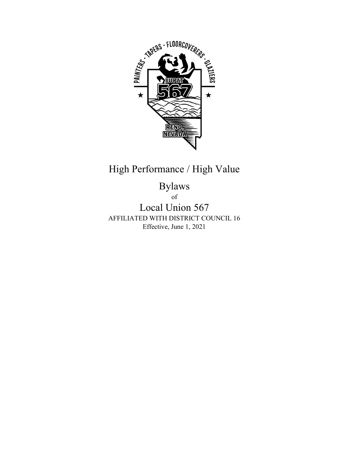

## High Performance / High Value

Bylaws

of

Local Union 567 AFFILIATED WITH DISTRICT COUNCIL 16 Effective, June 1, 2021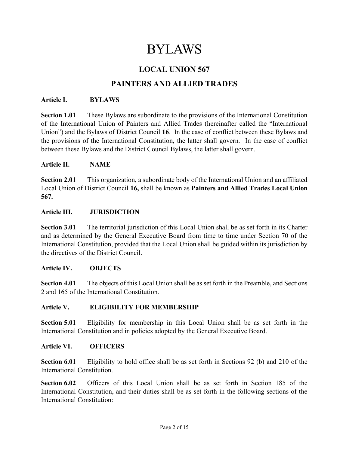# BYLAWS

## LOCAL UNION 567

## PAINTERS AND ALLIED TRADES

#### Article I. BYLAWS

Section 1.01 These Bylaws are subordinate to the provisions of the International Constitution of the International Union of Painters and Allied Trades (hereinafter called the "International Union") and the Bylaws of District Council 16. In the case of conflict between these Bylaws and the provisions of the International Constitution, the latter shall govern. In the case of conflict between these Bylaws and the District Council Bylaws, the latter shall govern.

#### Article II. NAME

Section 2.01 This organization, a subordinate body of the International Union and an affiliated Local Union of District Council 16, shall be known as Painters and Allied Trades Local Union 567.

#### Article III. JURISDICTION

Section 3.01 The territorial jurisdiction of this Local Union shall be as set forth in its Charter and as determined by the General Executive Board from time to time under Section 70 of the International Constitution, provided that the Local Union shall be guided within its jurisdiction by the directives of the District Council.

#### Article IV. OBJECTS

Section 4.01 The objects of this Local Union shall be as set forth in the Preamble, and Sections 2 and 165 of the International Constitution.

#### Article V. ELIGIBILITY FOR MEMBERSHIP

Section 5.01 Eligibility for membership in this Local Union shall be as set forth in the International Constitution and in policies adopted by the General Executive Board.

#### Article VI. OFFICERS

Section 6.01 Eligibility to hold office shall be as set forth in Sections 92 (b) and 210 of the International Constitution.

Section 6.02 Officers of this Local Union shall be as set forth in Section 185 of the International Constitution, and their duties shall be as set forth in the following sections of the International Constitution: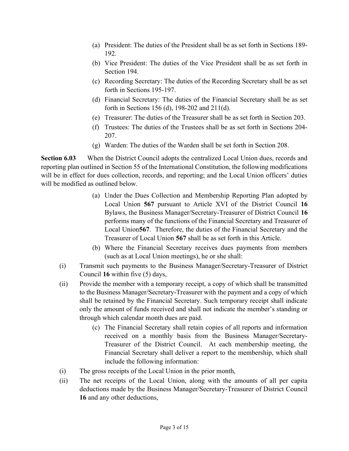- (a) President: The duties of the President shall be as set forth in Sections 189- 192.
- (b) Vice President: The duties of the Vice President shall be as set forth in Section 194.
- (c) Recording Secretary: The duties of the Recording Secretary shall be as set forth in Sections 195-197.
- (d) Financial Secretary: The duties of the Financial Secretary shall be as set forth in Sections 156 (d), 198-202 and 211(d).
- (e) Treasurer: The duties of the Treasurer shall be as set forth in Section 203.
- (f) Trustees: The duties of the Trustees shall be as set forth in Sections 204- 207.
- (g) Warden: The duties of the Warden shall be set forth in Section 208.

Section 6.03 When the District Council adopts the centralized Local Union dues, records and reporting plan outlined in Section 55 of the International Constitution, the following modifications will be in effect for dues collection, records, and reporting; and the Local Union officers' duties will be modified as outlined below.

- (a) Under the Dues Collection and Membership Reporting Plan adopted by Local Union 567 pursuant to Article XVI of the District Council 16 Bylaws, the Business Manager/Secretary-Treasurer of District Council 16 performs many of the functions of the Financial Secretary and Treasurer of Local Union567. Therefore, the duties of the Financial Secretary and the Treasurer of Local Union 567 shall be as set forth in this Article.
- (b) Where the Financial Secretary receives dues payments from members (such as at Local Union meetings), he or she shall:
- (i) Transmit such payments to the Business Manager/Secretary-Treasurer of District Council 16 within five (5) days,
- (ii) Provide the member with a temporary receipt, a copy of which shall be transmitted to the Business Manager/Secretary-Treasurer with the payment and a copy of which shall be retained by the Financial Secretary. Such temporary receipt shall indicate only the amount of funds received and shall not indicate the member's standing or through which calendar month dues are paid.
	- (c) The Financial Secretary shall retain copies of all reports and information received on a monthly basis from the Business Manager/Secretary-Treasurer of the District Council. At each membership meeting, the Financial Secretary shall deliver a report to the membership, which shall include the following information:
- (i) The gross receipts of the Local Union in the prior month,
- (ii) The net receipts of the Local Union, along with the amounts of all per capita deductions made by the Business Manager/Secretary-Treasurer of District Council 16 and any other deductions,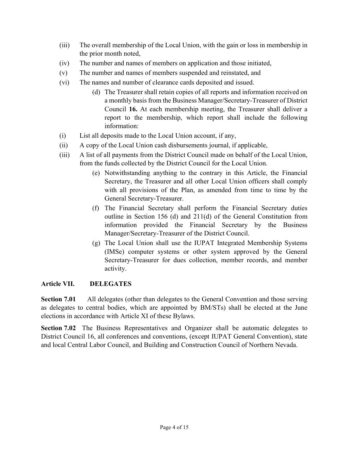- (iii) The overall membership of the Local Union, with the gain or loss in membership in the prior month noted,
- (iv) The number and names of members on application and those initiated,
- (v) The number and names of members suspended and reinstated, and
- (vi) The names and number of clearance cards deposited and issued.
	- (d) The Treasurer shall retain copies of all reports and information received on a monthly basis from the Business Manager/Secretary-Treasurer of District Council 16. At each membership meeting, the Treasurer shall deliver a report to the membership, which report shall include the following information:
- (i) List all deposits made to the Local Union account, if any,
- (ii) A copy of the Local Union cash disbursements journal, if applicable,
- (iii) A list of all payments from the District Council made on behalf of the Local Union, from the funds collected by the District Council for the Local Union.
	- (e) Notwithstanding anything to the contrary in this Article, the Financial Secretary, the Treasurer and all other Local Union officers shall comply with all provisions of the Plan, as amended from time to time by the General Secretary-Treasurer.
	- (f) The Financial Secretary shall perform the Financial Secretary duties outline in Section 156 (d) and 211(d) of the General Constitution from information provided the Financial Secretary by the Business Manager/Secretary-Treasurer of the District Council.
	- (g) The Local Union shall use the IUPAT Integrated Membership Systems (IMSe) computer systems or other system approved by the General Secretary-Treasurer for dues collection, member records, and member activity.

#### Article VII. DELEGATES

Section 7.01 All delegates (other than delegates to the General Convention and those serving as delegates to central bodies, which are appointed by BM/STs) shall be elected at the June elections in accordance with Article XI of these Bylaws.

Section 7.02 The Business Representatives and Organizer shall be automatic delegates to District Council 16, all conferences and conventions, (except IUPAT General Convention), state and local Central Labor Council, and Building and Construction Council of Northern Nevada.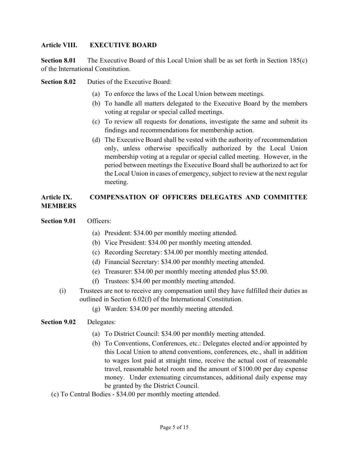#### Article VIII. EXECUTIVE BOARD

Section 8.01 The Executive Board of this Local Union shall be as set forth in Section 185(c) of the International Constitution.

Section 8.02 Duties of the Executive Board:

- (a) To enforce the laws of the Local Union between meetings.
- (b) To handle all matters delegated to the Executive Board by the members voting at regular or special called meetings.
- (c) To review all requests for donations, investigate the same and submit its findings and recommendations for membership action.
- (d) The Executive Board shall be vested with the authority of recommendation only, unless otherwise specifically authorized by the Local Union membership voting at a regular or special called meeting. However, in the period between meetings the Executive Board shall be authorized to act for the Local Union in cases of emergency, subject to review at the next regular meeting.

#### Article IX. COMPENSATION OF OFFICERS DELEGATES AND COMMITTEE MEMBERS

- Section 9.01 Officers:
	- (a) President: \$34.00 per monthly meeting attended.
	- (b) Vice President: \$34.00 per monthly meeting attended.
	- (c) Recording Secretary: \$34.00 per monthly meeting attended.
	- (d) Financial Secretary: \$34.00 per monthly meeting attended.
	- (e) Treasurer: \$34.00 per monthly meeting attended plus \$5.00.
	- (f) Trustees: \$34.00 per monthly meeting attended.
	- (i) Trustees are not to receive any compensation until they have fulfilled their duties as outlined in Section 6.02(f) of the International Constitution.
		- (g) Warden: \$34.00 per monthly meeting attended.

#### Section 9.02 Delegates:

- (a) To District Council: \$34.00 per monthly meeting attended.
- (b) To Conventions, Conferences, etc.: Delegates elected and/or appointed by this Local Union to attend conventions, conferences, etc., shall in addition to wages lost paid at straight time, receive the actual cost of reasonable travel, reasonable hotel room and the amount of \$100.00 per day expense money. Under extenuating circumstances, additional daily expense may be granted by the District Council.
- (c) To Central Bodies \$34.00 per monthly meeting attended.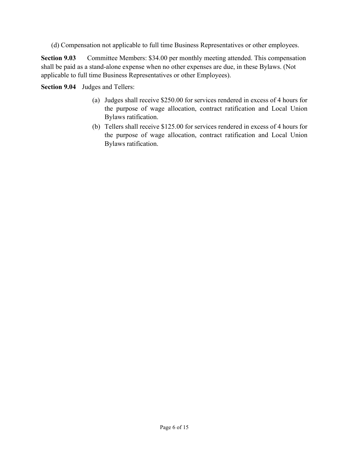(d) Compensation not applicable to full time Business Representatives or other employees.

Section 9.03 Committee Members: \$34.00 per monthly meeting attended. This compensation shall be paid as a stand-alone expense when no other expenses are due, in these Bylaws. (Not applicable to full time Business Representatives or other Employees).

Section 9.04 Judges and Tellers:

- (a) Judges shall receive \$250.00 for services rendered in excess of 4 hours for the purpose of wage allocation, contract ratification and Local Union Bylaws ratification.
- (b) Tellers shall receive \$125.00 for services rendered in excess of 4 hours for the purpose of wage allocation, contract ratification and Local Union Bylaws ratification.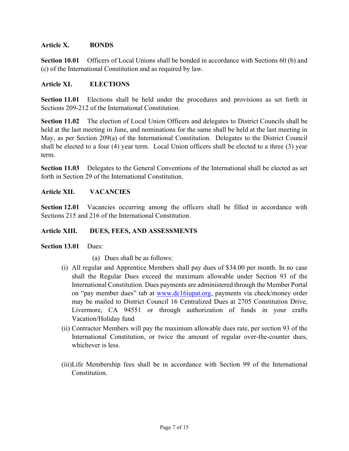#### Article X. BONDS

Section 10.01 Officers of Local Unions shall be bonded in accordance with Sections 60 (b) and (c) of the International Constitution and as required by law.

#### Article XI. ELECTIONS

Section 11.01 Elections shall be held under the procedures and provisions as set forth in Sections 209-212 of the International Constitution.

Section 11.02 The election of Local Union Officers and delegates to District Councils shall be held at the last meeting in June, and nominations for the same shall be held at the last meeting in May, as per Section 209(a) of the International Constitution. Delegates to the District Council shall be elected to a four (4) year term. Local Union officers shall be elected to a three (3) year term.

Section 11.03 Delegates to the General Conventions of the International shall be elected as set forth in Section 29 of the International Constitution.

#### Article XII. VACANCIES

Section 12.01 Vacancies occurring among the officers shall be filled in accordance with Sections 215 and 216 of the International Constitution.

#### Article XIII. DUES, FEES, AND ASSESSMENTS

Section 13.01 Dues:

- (a) Dues shall be as follows:
- (i) All regular and Apprentice Members shall pay dues of \$34.00 per month. In no case shall the Regular Dues exceed the maximum allowable under Section 93 of the International Constitution. Dues payments are administered through the Member Portal on "pay member dues" tab at www.dc16iupat.org, payments via check/money order may be mailed to District Council 16 Centralized Dues at 2705 Constitution Drive, Livermore, CA 94551 or through authorization of funds in your crafts Vacation/Holiday fund
- (ii) Contractor Members will pay the maximum allowable dues rate, per section 93 of the International Constitution, or twice the amount of regular over-the-counter dues, whichever is less.
- (iii)Life Membership fees shall be in accordance with Section 99 of the International Constitution.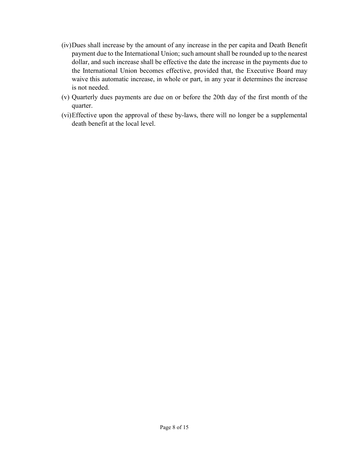- (iv)Dues shall increase by the amount of any increase in the per capita and Death Benefit payment due to the International Union; such amount shall be rounded up to the nearest dollar, and such increase shall be effective the date the increase in the payments due to the International Union becomes effective, provided that, the Executive Board may waive this automatic increase, in whole or part, in any year it determines the increase is not needed.
- (v) Quarterly dues payments are due on or before the 20th day of the first month of the quarter.
- (vi)Effective upon the approval of these by-laws, there will no longer be a supplemental death benefit at the local level.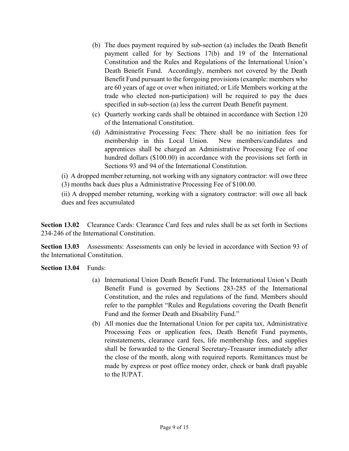- (b) The dues payment required by sub-section (a) includes the Death Benefit payment called for by Sections 17(b) and 19 of the International Constitution and the Rules and Regulations of the International Union's Death Benefit Fund. Accordingly, members not covered by the Death Benefit Fund pursuant to the foregoing provisions (example: members who are 60 years of age or over when initiated; or Life Members working at the trade who elected non-participation) will be required to pay the dues specified in sub-section (a) less the current Death Benefit payment.
- (c) Quarterly working cards shall be obtained in accordance with Section 120 of the International Constitution.
- (d) Administrative Processing Fees: There shall be no initiation fees for membership in this Local Union. New members/candidates and apprentices shall be charged an Administrative Processing Fee of one hundred dollars (\$100.00) in accordance with the provisions set forth in Sections 93 and 94 of the International Constitution.

(i) A dropped member returning, not working with any signatory contractor: will owe three (3) months back dues plus a Administrative Processing Fee of \$100.00.

(ii) A dropped member returning, working with a signatory contractor: will owe all back dues and fees accumulated

Section 13.02 Clearance Cards: Clearance Card fees and rules shall be as set forth in Sections 234-246 of the International Constitution.

Section 13.03 Assessments: Assessments can only be levied in accordance with Section 93 of the International Constitution.

Section 13.04 Funds:

- (a) International Union Death Benefit Fund. The International Union's Death Benefit Fund is governed by Sections 283-285 of the International Constitution, and the rules and regulations of the fund. Members should refer to the pamphlet "Rules and Regulations covering the Death Benefit Fund and the former Death and Disability Fund."
- (b) All monies due the International Union for per capita tax, Administrative Processing Fees or application fees, Death Benefit Fund payments, reinstatements, clearance card fees, life membership fees, and supplies shall be forwarded to the General Secretary-Treasurer immediately after the close of the month, along with required reports. Remittances must be made by express or post office money order, check or bank draft payable to the IUPAT.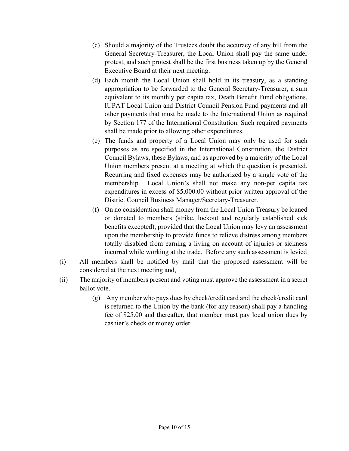- (c) Should a majority of the Trustees doubt the accuracy of any bill from the General Secretary-Treasurer, the Local Union shall pay the same under protest, and such protest shall be the first business taken up by the General Executive Board at their next meeting.
- (d) Each month the Local Union shall hold in its treasury, as a standing appropriation to be forwarded to the General Secretary-Treasurer, a sum equivalent to its monthly per capita tax, Death Benefit Fund obligations, IUPAT Local Union and District Council Pension Fund payments and all other payments that must be made to the International Union as required by Section 177 of the International Constitution. Such required payments shall be made prior to allowing other expenditures.
- (e) The funds and property of a Local Union may only be used for such purposes as are specified in the International Constitution, the District Council Bylaws, these Bylaws, and as approved by a majority of the Local Union members present at a meeting at which the question is presented. Recurring and fixed expenses may be authorized by a single vote of the membership. Local Union's shall not make any non-per capita tax expenditures in excess of \$5,000.00 without prior written approval of the District Council Business Manager/Secretary-Treasurer.
- (f) On no consideration shall money from the Local Union Treasury be loaned or donated to members (strike, lockout and regularly established sick benefits excepted), provided that the Local Union may levy an assessment upon the membership to provide funds to relieve distress among members totally disabled from earning a living on account of injuries or sickness incurred while working at the trade. Before any such assessment is levied
- (i) All members shall be notified by mail that the proposed assessment will be considered at the next meeting and,
- (ii) The majority of members present and voting must approve the assessment in a secret ballot vote.
	- (g) Any member who pays dues by check/credit card and the check/credit card is returned to the Union by the bank (for any reason) shall pay a handling fee of \$25.00 and thereafter, that member must pay local union dues by cashier's check or money order.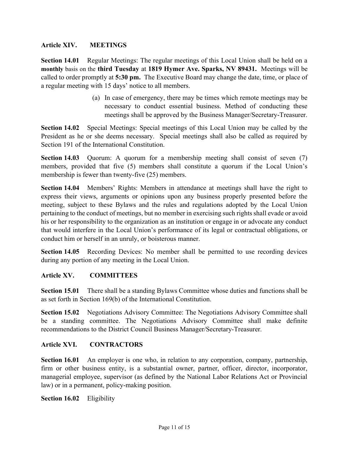#### Article XIV. MEETINGS

Section 14.01 Regular Meetings: The regular meetings of this Local Union shall be held on a monthly basis on the third Tuesday at 1819 Hymer Ave. Sparks, NV 89431. Meetings will be called to order promptly at 5:30 pm. The Executive Board may change the date, time, or place of a regular meeting with 15 days' notice to all members.

> (a) In case of emergency, there may be times which remote meetings may be necessary to conduct essential business. Method of conducting these meetings shall be approved by the Business Manager/Secretary-Treasurer.

Section 14.02 Special Meetings: Special meetings of this Local Union may be called by the President as he or she deems necessary. Special meetings shall also be called as required by Section 191 of the International Constitution.

Section 14.03 Quorum: A quorum for a membership meeting shall consist of seven (7) members, provided that five (5) members shall constitute a quorum if the Local Union's membership is fewer than twenty-five (25) members.

Section 14.04 Members' Rights: Members in attendance at meetings shall have the right to express their views, arguments or opinions upon any business properly presented before the meeting, subject to these Bylaws and the rules and regulations adopted by the Local Union pertaining to the conduct of meetings, but no member in exercising such rights shall evade or avoid his or her responsibility to the organization as an institution or engage in or advocate any conduct that would interfere in the Local Union's performance of its legal or contractual obligations, or conduct him or herself in an unruly, or boisterous manner.

Section 14.05 Recording Devices: No member shall be permitted to use recording devices during any portion of any meeting in the Local Union.

#### Article XV. COMMITTEES

Section 15.01 There shall be a standing Bylaws Committee whose duties and functions shall be as set forth in Section 169(b) of the International Constitution.

Section 15.02 Negotiations Advisory Committee: The Negotiations Advisory Committee shall be a standing committee. The Negotiations Advisory Committee shall make definite recommendations to the District Council Business Manager/Secretary-Treasurer.

#### Article XVI. CONTRACTORS

Section 16.01 An employer is one who, in relation to any corporation, company, partnership, firm or other business entity, is a substantial owner, partner, officer, director, incorporator, managerial employee, supervisor (as defined by the National Labor Relations Act or Provincial law) or in a permanent, policy-making position.

Section 16.02 Eligibility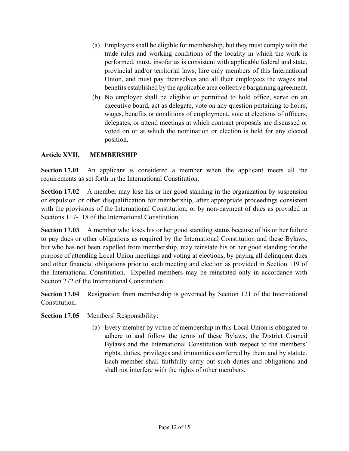- (a) Employers shall be eligible for membership, but they must comply with the trade rules and working conditions of the locality in which the work is performed, must, insofar as is consistent with applicable federal and state, provincial and/or territorial laws, hire only members of this International Union, and must pay themselves and all their employees the wages and benefits established by the applicable area collective bargaining agreement.
- (b) No employer shall be eligible or permitted to hold office, serve on an executive board, act as delegate, vote on any question pertaining to hours, wages, benefits or conditions of employment, vote at elections of officers, delegates, or attend meetings at which contract proposals are discussed or voted on or at which the nomination or election is held for any elected position.

#### Article XVII. MEMBERSHIP

Section 17.01 An applicant is considered a member when the applicant meets all the requirements as set forth in the International Constitution.

Section 17.02 A member may lose his or her good standing in the organization by suspension or expulsion or other disqualification for membership, after appropriate proceedings consistent with the provisions of the International Constitution, or by non-payment of dues as provided in Sections 117-118 of the International Constitution.

Section 17.03 A member who loses his or her good standing status because of his or her failure to pay dues or other obligations as required by the International Constitution and these Bylaws, but who has not been expelled from membership, may reinstate his or her good standing for the purpose of attending Local Union meetings and voting at elections, by paying all delinquent dues and other financial obligations prior to such meeting and election as provided in Section 119 of the International Constitution. Expelled members may be reinstated only in accordance with Section 272 of the International Constitution.

Section 17.04 Resignation from membership is governed by Section 121 of the International Constitution.

Section 17.05 Members' Responsibility:

(a) Every member by virtue of membership in this Local Union is obligated to adhere to and follow the terms of these Bylaws, the District Council Bylaws and the International Constitution with respect to the members' rights, duties, privileges and immunities conferred by them and by statute. Each member shall faithfully carry out such duties and obligations and shall not interfere with the rights of other members.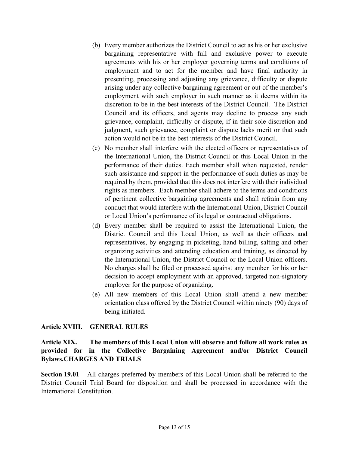- (b) Every member authorizes the District Council to act as his or her exclusive bargaining representative with full and exclusive power to execute agreements with his or her employer governing terms and conditions of employment and to act for the member and have final authority in presenting, processing and adjusting any grievance, difficulty or dispute arising under any collective bargaining agreement or out of the member's employment with such employer in such manner as it deems within its discretion to be in the best interests of the District Council. The District Council and its officers, and agents may decline to process any such grievance, complaint, difficulty or dispute, if in their sole discretion and judgment, such grievance, complaint or dispute lacks merit or that such action would not be in the best interests of the District Council.
- (c) No member shall interfere with the elected officers or representatives of the International Union, the District Council or this Local Union in the performance of their duties. Each member shall when requested, render such assistance and support in the performance of such duties as may be required by them, provided that this does not interfere with their individual rights as members. Each member shall adhere to the terms and conditions of pertinent collective bargaining agreements and shall refrain from any conduct that would interfere with the International Union, District Council or Local Union's performance of its legal or contractual obligations.
- (d) Every member shall be required to assist the International Union, the District Council and this Local Union, as well as their officers and representatives, by engaging in picketing, hand billing, salting and other organizing activities and attending education and training, as directed by the International Union, the District Council or the Local Union officers. No charges shall be filed or processed against any member for his or her decision to accept employment with an approved, targeted non-signatory employer for the purpose of organizing.
- (e) All new members of this Local Union shall attend a new member orientation class offered by the District Council within ninety (90) days of being initiated.

#### Article XVIII. GENERAL RULES

Article XIX. The members of this Local Union will observe and follow all work rules as provided for in the Collective Bargaining Agreement and/or District Council Bylaws.CHARGES AND TRIALS

Section 19.01 All charges preferred by members of this Local Union shall be referred to the District Council Trial Board for disposition and shall be processed in accordance with the International Constitution.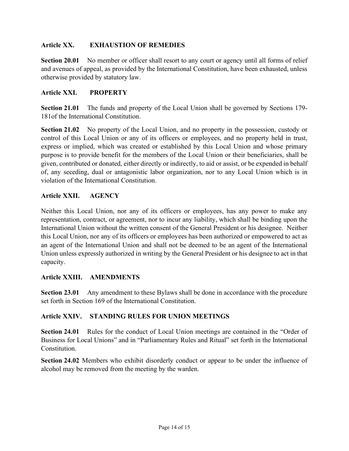#### Article XX. EXHAUSTION OF REMEDIES

Section 20.01 No member or officer shall resort to any court or agency until all forms of relief and avenues of appeal, as provided by the International Constitution, have been exhausted, unless otherwise provided by statutory law.

#### Article XXI. PROPERTY

Section 21.01 The funds and property of the Local Union shall be governed by Sections 179- 181of the International Constitution.

Section 21.02 No property of the Local Union, and no property in the possession, custody or control of this Local Union or any of its officers or employees, and no property held in trust, express or implied, which was created or established by this Local Union and whose primary purpose is to provide benefit for the members of the Local Union or their beneficiaries, shall be given, contributed or donated, either directly or indirectly, to aid or assist, or be expended in behalf of, any seceding, dual or antagonistic labor organization, nor to any Local Union which is in violation of the International Constitution.

#### Article XXII. AGENCY

Neither this Local Union, nor any of its officers or employees, has any power to make any representation, contract, or agreement, nor to incur any liability, which shall be binding upon the International Union without the written consent of the General President or his designee. Neither this Local Union, nor any of its officers or employees has been authorized or empowered to act as an agent of the International Union and shall not be deemed to be an agent of the International Union unless expressly authorized in writing by the General President or his designee to act in that capacity.

#### Article XXIII. AMENDMENTS

Section 23.01 Any amendment to these Bylaws shall be done in accordance with the procedure set forth in Section 169 of the International Constitution.

#### Article XXIV. STANDING RULES FOR UNION MEETINGS

Section 24.01 Rules for the conduct of Local Union meetings are contained in the "Order of Business for Local Unions" and in "Parliamentary Rules and Ritual" set forth in the International Constitution.

Section 24.02 Members who exhibit disorderly conduct or appear to be under the influence of alcohol may be removed from the meeting by the warden.